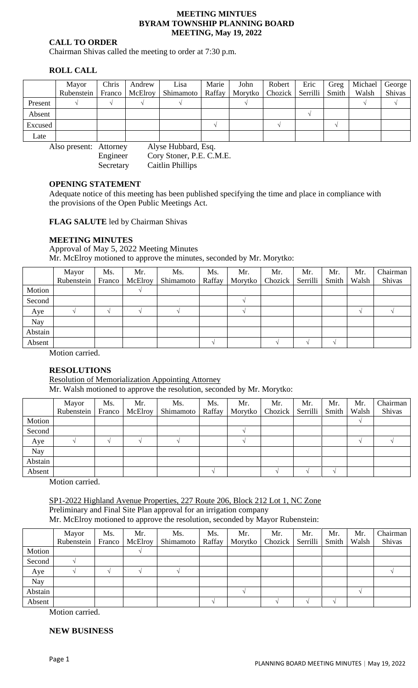#### **MEETING MINTUES BYRAM TOWNSHIP PLANNING BOARD MEETING, May 19, 2022**

#### **CALL TO ORDER**

Chairman Shivas called the meeting to order at 7:30 p.m.

# **ROLL CALL**

|         | Mayor      | Chris | Andrew           | Lisa                                              | Marie | John | Robert | Eric | Greg  | Michael George |        |
|---------|------------|-------|------------------|---------------------------------------------------|-------|------|--------|------|-------|----------------|--------|
|         | Rubenstein |       | Franco   McElroy | Shimamoto   Raffay   Morytko   Chozick   Serrilli |       |      |        |      | Smith | Walsh          | Shivas |
| Present |            |       |                  |                                                   |       |      |        |      |       |                |        |
| Absent  |            |       |                  |                                                   |       |      |        |      |       |                |        |
| Excused |            |       |                  |                                                   |       |      |        |      |       |                |        |
| Late    |            |       |                  |                                                   |       |      |        |      |       |                |        |

Also present: Attorney Alyse Hubbard, Esq. Engineer Cory Stoner, P.E. C.M.E. Secretary Caitlin Phillips

## **OPENING STATEMENT**

Adequate notice of this meeting has been published specifying the time and place in compliance with the provisions of the Open Public Meetings Act.

**FLAG SALUTE** led by Chairman Shivas

## **MEETING MINUTES**

Approval of May 5, 2022 Meeting Minutes Mr. McElroy motioned to approve the minutes, seconded by Mr. Morytko:

|         | Mayor<br>Rubenstein Franco | Ms. | Mr.<br>McElroy | Ms.<br>Shimamoto | Ms.<br>Raffay | Mr. | Mr.<br>Morytko   Chozick | Mr.<br>Serrilli | Mr.<br>Smith | Mr.<br>Walsh | Chairman<br>Shivas |
|---------|----------------------------|-----|----------------|------------------|---------------|-----|--------------------------|-----------------|--------------|--------------|--------------------|
| Motion  |                            |     |                |                  |               |     |                          |                 |              |              |                    |
| Second  |                            |     |                |                  |               |     |                          |                 |              |              |                    |
| Aye     |                            |     |                |                  |               |     |                          |                 |              |              |                    |
| Nay     |                            |     |                |                  |               |     |                          |                 |              |              |                    |
| Abstain |                            |     |                |                  |               |     |                          |                 |              |              |                    |
| Absent  |                            |     |                |                  |               |     |                          |                 |              |              |                    |

Motion carried.

# **RESOLUTIONS**

Resolution of Memorialization Appointing Attorney

Mr. Walsh motioned to approve the resolution, seconded by Mr. Morytko:

|         | Mayor<br>Rubenstein | Ms.<br>Franco | Mr.<br>McElroy | Ms.<br>Shimamoto | Ms.<br>Raffay | Mr.<br>Morytko | Mr.<br>Chozick | Mr.<br>Serrilli | Mr.<br>Smith | Mr.<br>Walsh | Chairman<br>Shivas |
|---------|---------------------|---------------|----------------|------------------|---------------|----------------|----------------|-----------------|--------------|--------------|--------------------|
| Motion  |                     |               |                |                  |               |                |                |                 |              |              |                    |
| Second  |                     |               |                |                  |               |                |                |                 |              |              |                    |
| Aye     |                     |               |                |                  |               |                |                |                 |              |              |                    |
| Nay     |                     |               |                |                  |               |                |                |                 |              |              |                    |
| Abstain |                     |               |                |                  |               |                |                |                 |              |              |                    |
| Absent  |                     |               |                |                  |               |                |                |                 |              |              |                    |

Motion carried.

SP1-2022 Highland Avenue Properties, 227 Route 206, Block 212 Lot 1, NC Zone Preliminary and Final Site Plan approval for an irrigation company Mr. McElroy motioned to approve the resolution, seconded by Mayor Rubenstein:

|         | Mayor<br>Rubenstein | Ms.<br>Franco | Mr.<br>McElroy | Ms.<br>Shimamoto | Ms.<br>Raffay | Mr.<br>Morytko | Mr.<br>Chozick | Mr.<br>Serrilli | Mr.<br>Smith | Mr.<br>Walsh | Chairman<br>Shivas |
|---------|---------------------|---------------|----------------|------------------|---------------|----------------|----------------|-----------------|--------------|--------------|--------------------|
| Motion  |                     |               |                |                  |               |                |                |                 |              |              |                    |
| Second  |                     |               |                |                  |               |                |                |                 |              |              |                    |
| Aye     |                     |               |                |                  |               |                |                |                 |              |              |                    |
| Nay     |                     |               |                |                  |               |                |                |                 |              |              |                    |
| Abstain |                     |               |                |                  |               |                |                |                 |              |              |                    |
| Absent  |                     |               |                |                  |               |                |                |                 |              |              |                    |

Motion carried.

# **NEW BUSINESS**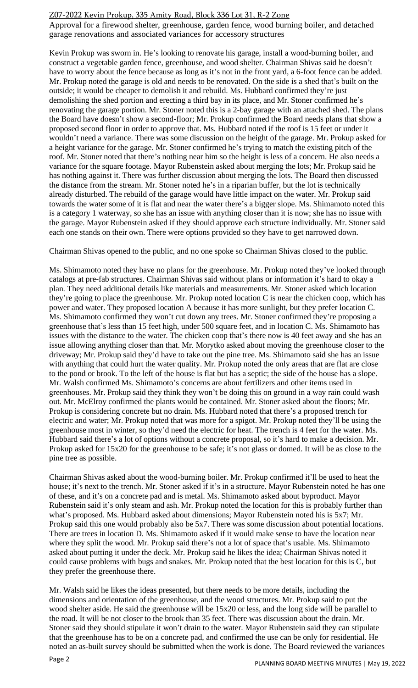## Z07-2022 Kevin Prokup, 335 Amity Road, Block 336 Lot 31, R-2 Zone

Approval for a firewood shelter, greenhouse, garden fence, wood burning boiler, and detached garage renovations and associated variances for accessory structures

Kevin Prokup was sworn in. He's looking to renovate his garage, install a wood-burning boiler, and construct a vegetable garden fence, greenhouse, and wood shelter. Chairman Shivas said he doesn't have to worry about the fence because as long as it's not in the front yard, a 6-foot fence can be added. Mr. Prokup noted the garage is old and needs to be renovated. On the side is a shed that's built on the outside; it would be cheaper to demolish it and rebuild. Ms. Hubbard confirmed they're just demolishing the shed portion and erecting a third bay in its place, and Mr. Stoner confirmed he's renovating the garage portion. Mr. Stoner noted this is a 2-bay garage with an attached shed. The plans the Board have doesn't show a second-floor; Mr. Prokup confirmed the Board needs plans that show a proposed second floor in order to approve that. Ms. Hubbard noted if the roof is 15 feet or under it wouldn't need a variance. There was some discussion on the height of the garage. Mr. Prokup asked for a height variance for the garage. Mr. Stoner confirmed he's trying to match the existing pitch of the roof. Mr. Stoner noted that there's nothing near him so the height is less of a concern. He also needs a variance for the square footage. Mayor Rubenstein asked about merging the lots; Mr. Prokup said he has nothing against it. There was further discussion about merging the lots. The Board then discussed the distance from the stream. Mr. Stoner noted he's in a riparian buffer, but the lot is technically already disturbed. The rebuild of the garage would have little impact on the water. Mr. Prokup said towards the water some of it is flat and near the water there's a bigger slope. Ms. Shimamoto noted this is a category 1 waterway, so she has an issue with anything closer than it is now; she has no issue with the garage. Mayor Rubenstein asked if they should approve each structure individually. Mr. Stoner said each one stands on their own. There were options provided so they have to get narrowed down.

Chairman Shivas opened to the public, and no one spoke so Chairman Shivas closed to the public.

Ms. Shimamoto noted they have no plans for the greenhouse. Mr. Prokup noted they've looked through catalogs at pre-fab structures. Chairman Shivas said without plans or information it's hard to okay a plan. They need additional details like materials and measurements. Mr. Stoner asked which location they're going to place the greenhouse. Mr. Prokup noted location C is near the chicken coop, which has power and water. They proposed location A because it has more sunlight, but they prefer location C. Ms. Shimamoto confirmed they won't cut down any trees. Mr. Stoner confirmed they're proposing a greenhouse that's less than 15 feet high, under 500 square feet, and in location C. Ms. Shimamoto has issues with the distance to the water. The chicken coop that's there now is 40 feet away and she has an issue allowing anything closer than that. Mr. Morytko asked about moving the greenhouse closer to the driveway; Mr. Prokup said they'd have to take out the pine tree. Ms. Shimamoto said she has an issue with anything that could hurt the water quality. Mr. Prokup noted the only areas that are flat are close to the pond or brook. To the left of the house is flat but has a septic; the side of the house has a slope. Mr. Walsh confirmed Ms. Shimamoto's concerns are about fertilizers and other items used in greenhouses. Mr. Prokup said they think they won't be doing this on ground in a way rain could wash out. Mr. McElroy confirmed the plants would be contained. Mr. Stoner asked about the floors; Mr. Prokup is considering concrete but no drain. Ms. Hubbard noted that there's a proposed trench for electric and water; Mr. Prokup noted that was more for a spigot. Mr. Prokup noted they'll be using the greenhouse most in winter, so they'd need the electric for heat. The trench is 4 feet for the water. Ms. Hubbard said there's a lot of options without a concrete proposal, so it's hard to make a decision. Mr. Prokup asked for 15x20 for the greenhouse to be safe; it's not glass or domed. It will be as close to the pine tree as possible.

Chairman Shivas asked about the wood-burning boiler. Mr. Prokup confirmed it'll be used to heat the house; it's next to the trench. Mr. Stoner asked if it's in a structure. Mayor Rubenstein noted he has one of these, and it's on a concrete pad and is metal. Ms. Shimamoto asked about byproduct. Mayor Rubenstein said it's only steam and ash. Mr. Prokup noted the location for this is probably further than what's proposed. Ms. Hubbard asked about dimensions; Mayor Rubenstein noted his is 5x7; Mr. Prokup said this one would probably also be 5x7. There was some discussion about potential locations. There are trees in location D. Ms. Shimamoto asked if it would make sense to have the location near where they split the wood. Mr. Prokup said there's not a lot of space that's usable. Ms. Shimamoto asked about putting it under the deck. Mr. Prokup said he likes the idea; Chairman Shivas noted it could cause problems with bugs and snakes. Mr. Prokup noted that the best location for this is C, but they prefer the greenhouse there.

Mr. Walsh said he likes the ideas presented, but there needs to be more details, including the dimensions and orientation of the greenhouse, and the wood structures. Mr. Prokup said to put the wood shelter aside. He said the greenhouse will be 15x20 or less, and the long side will be parallel to the road. It will be not closer to the brook than 35 feet. There was discussion about the drain. Mr. Stoner said they should stipulate it won't drain to the water. Mayor Rubenstein said they can stipulate that the greenhouse has to be on a concrete pad, and confirmed the use can be only for residential. He noted an as-built survey should be submitted when the work is done. The Board reviewed the variances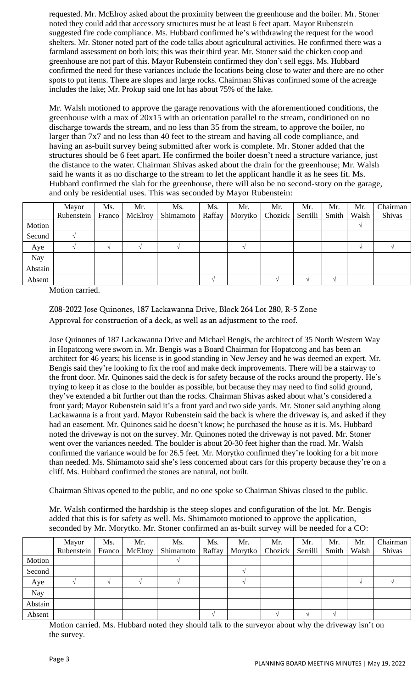requested. Mr. McElroy asked about the proximity between the greenhouse and the boiler. Mr. Stoner noted they could add that accessory structures must be at least 6 feet apart. Mayor Rubenstein suggested fire code compliance. Ms. Hubbard confirmed he's withdrawing the request for the wood shelters. Mr. Stoner noted part of the code talks about agricultural activities. He confirmed there was a farmland assessment on both lots; this was their third year. Mr. Stoner said the chicken coop and greenhouse are not part of this. Mayor Rubenstein confirmed they don't sell eggs. Ms. Hubbard confirmed the need for these variances include the locations being close to water and there are no other spots to put items. There are slopes and large rocks. Chairman Shivas confirmed some of the acreage includes the lake; Mr. Prokup said one lot has about 75% of the lake.

Mr. Walsh motioned to approve the garage renovations with the aforementioned conditions, the greenhouse with a max of 20x15 with an orientation parallel to the stream, conditioned on no discharge towards the stream, and no less than 35 from the stream, to approve the boiler, no larger than 7x7 and no less than 40 feet to the stream and having all code compliance, and having an as-built survey being submitted after work is complete. Mr. Stoner added that the structures should be 6 feet apart. He confirmed the boiler doesn't need a structure variance, just the distance to the water. Chairman Shivas asked about the drain for the greenhouse; Mr. Walsh said he wants it as no discharge to the stream to let the applicant handle it as he sees fit. Ms. Hubbard confirmed the slab for the greenhouse, there will also be no second-story on the garage, and only be residential uses. This was seconded by Mayor Rubenstein:

|         | Mayor      | Ms.    | Mr.     | Ms.       | Ms.    | Mr.     | Mr.     | Mr.      | Mr.   | Mr.   | Chairman |
|---------|------------|--------|---------|-----------|--------|---------|---------|----------|-------|-------|----------|
|         | Rubenstein | Franco | McElroy | Shimamoto | Raffay | Morytko | Chozick | Serrilli | Smith | Walsh | Shivas   |
| Motion  |            |        |         |           |        |         |         |          |       |       |          |
| Second  |            |        |         |           |        |         |         |          |       |       |          |
| Aye     |            |        |         |           |        |         |         |          |       |       |          |
| Nay     |            |        |         |           |        |         |         |          |       |       |          |
| Abstain |            |        |         |           |        |         |         |          |       |       |          |
| Absent  |            |        |         |           |        |         |         |          |       |       |          |

Motion carried.

Z08-2022 Jose Quinones, 187 Lackawanna Drive, Block 264 Lot 280, R-5 Zone Approval for construction of a deck, as well as an adjustment to the roof.

Jose Quinones of 187 Lackawanna Drive and Michael Bengis, the architect of 35 North Western Way in Hopatcong were sworn in. Mr. Bengis was a Board Chairman for Hopatcong and has been an architect for 46 years; his license is in good standing in New Jersey and he was deemed an expert. Mr. Bengis said they're looking to fix the roof and make deck improvements. There will be a stairway to the front door. Mr. Quinones said the deck is for safety because of the rocks around the property. He's trying to keep it as close to the boulder as possible, but because they may need to find solid ground, they've extended a bit further out than the rocks. Chairman Shivas asked about what's considered a front yard; Mayor Rubenstein said it's a front yard and two side yards. Mr. Stoner said anything along Lackawanna is a front yard. Mayor Rubenstein said the back is where the driveway is, and asked if they had an easement. Mr. Quinones said he doesn't know; he purchased the house as it is. Ms. Hubbard noted the driveway is not on the survey. Mr. Quinones noted the driveway is not paved. Mr. Stoner went over the variances needed. The boulder is about 20-30 feet higher than the road. Mr. Walsh confirmed the variance would be for 26.5 feet. Mr. Morytko confirmed they're looking for a bit more than needed. Ms. Shimamoto said she's less concerned about cars for this property because they're on a cliff. Ms. Hubbard confirmed the stones are natural, not built.

Chairman Shivas opened to the public, and no one spoke so Chairman Shivas closed to the public.

Mr. Walsh confirmed the hardship is the steep slopes and configuration of the lot. Mr. Bengis added that this is for safety as well. Ms. Shimamoto motioned to approve the application, seconded by Mr. Morytko. Mr. Stoner confirmed an as-built survey will be needed for a CO:

|         | Mayor<br>Rubenstein | Ms.<br>Franco | Mr.<br>McElroy | Ms.<br>Shimamoto | Ms.<br>Raffay | Mr.<br>Morytko | Mr.<br>Chozick | Mr.<br>Serrilli | Mr.<br>Smith | Mr.<br>Walsh | Chairman<br>Shivas |
|---------|---------------------|---------------|----------------|------------------|---------------|----------------|----------------|-----------------|--------------|--------------|--------------------|
| Motion  |                     |               |                |                  |               |                |                |                 |              |              |                    |
| Second  |                     |               |                |                  |               |                |                |                 |              |              |                    |
| Aye     |                     |               |                |                  |               |                |                |                 |              |              |                    |
| Nay     |                     |               |                |                  |               |                |                |                 |              |              |                    |
| Abstain |                     |               |                |                  |               |                |                |                 |              |              |                    |
| Absent  |                     |               |                |                  |               |                |                |                 |              |              |                    |

Motion carried. Ms. Hubbard noted they should talk to the surveyor about why the driveway isn't on the survey.